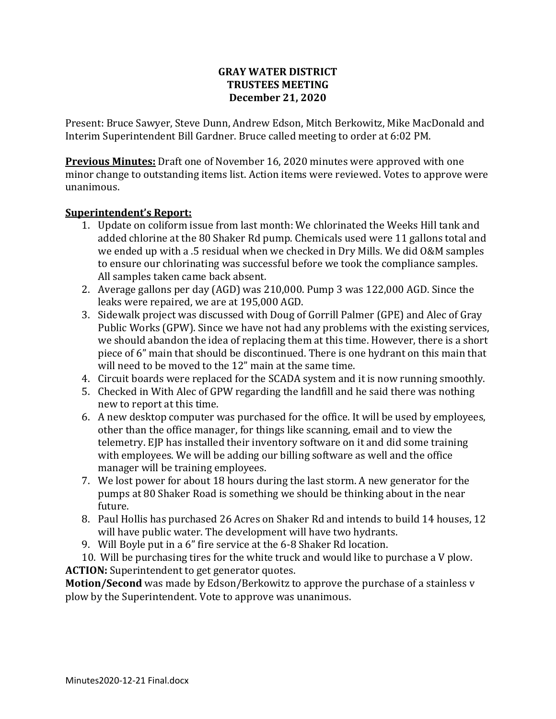### **GRAY WATER DISTRICT TRUSTEES MEETING December 21, 2020**

Present: Bruce Sawyer, Steve Dunn, Andrew Edson, Mitch Berkowitz, Mike MacDonald and Interim Superintendent Bill Gardner. Bruce called meeting to order at 6:02 PM.

**Previous Minutes:** Draft one of November 16, 2020 minutes were approved with one minor change to outstanding items list. Action items were reviewed. Votes to approve were unanimous.

### **Superintendent's Report:**

- 1. Update on coliform issue from last month: We chlorinated the Weeks Hill tank and added chlorine at the 80 Shaker Rd pump. Chemicals used were 11 gallons total and we ended up with a .5 residual when we checked in Dry Mills. We did O&M samples to ensure our chlorinating was successful before we took the compliance samples. All samples taken came back absent.
- 2. Average gallons per day (AGD) was 210,000. Pump 3 was 122,000 AGD. Since the leaks were repaired, we are at 195,000 AGD.
- 3. Sidewalk project was discussed with Doug of Gorrill Palmer (GPE) and Alec of Gray Public Works (GPW). Since we have not had any problems with the existing services, we should abandon the idea of replacing them at this time. However, there is a short piece of 6" main that should be discontinued. There is one hydrant on this main that will need to be moved to the 12" main at the same time.
- 4. Circuit boards were replaced for the SCADA system and it is now running smoothly.
- 5. Checked in With Alec of GPW regarding the landfill and he said there was nothing new to report at this time.
- 6. A new desktop computer was purchased for the office. It will be used by employees, other than the office manager, for things like scanning, email and to view the telemetry. EJP has installed their inventory software on it and did some training with employees. We will be adding our billing software as well and the office manager will be training employees.
- 7. We lost power for about 18 hours during the last storm. A new generator for the pumps at 80 Shaker Road is something we should be thinking about in the near future.
- 8. Paul Hollis has purchased 26 Acres on Shaker Rd and intends to build 14 houses, 12 will have public water. The development will have two hydrants.
- 9. Will Boyle put in a 6" fire service at the 6-8 Shaker Rd location.
- 10. Will be purchasing tires for the white truck and would like to purchase a V plow. **ACTION:** Superintendent to get generator quotes.

**Motion/Second** was made by Edson/Berkowitz to approve the purchase of a stainless v plow by the Superintendent. Vote to approve was unanimous.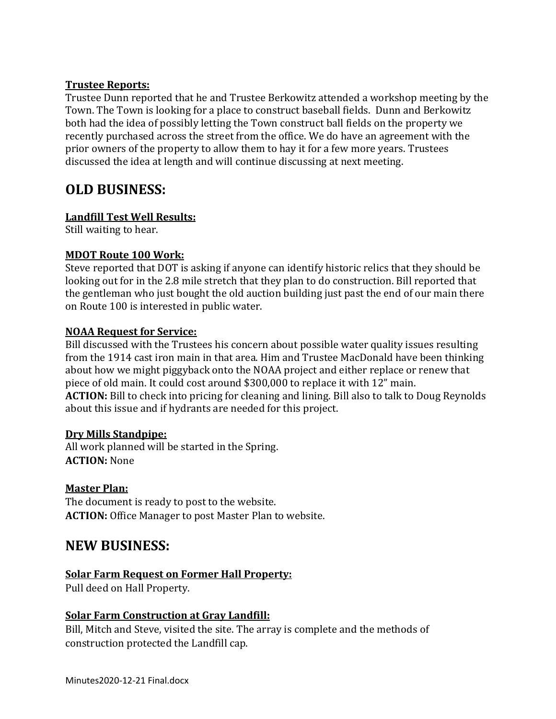#### **Trustee Reports:**

Trustee Dunn reported that he and Trustee Berkowitz attended a workshop meeting by the Town. The Town is looking for a place to construct baseball fields. Dunn and Berkowitz both had the idea of possibly letting the Town construct ball fields on the property we recently purchased across the street from the office. We do have an agreement with the prior owners of the property to allow them to hay it for a few more years. Trustees discussed the idea at length and will continue discussing at next meeting.

# **OLD BUSINESS:**

#### **Landfill Test Well Results:**

Still waiting to hear.

### **MDOT Route 100 Work:**

Steve reported that DOT is asking if anyone can identify historic relics that they should be looking out for in the 2.8 mile stretch that they plan to do construction. Bill reported that the gentleman who just bought the old auction building just past the end of our main there on Route 100 is interested in public water.

#### **NOAA Request for Service:**

Bill discussed with the Trustees his concern about possible water quality issues resulting from the 1914 cast iron main in that area. Him and Trustee MacDonald have been thinking about how we might piggyback onto the NOAA project and either replace or renew that piece of old main. It could cost around \$300,000 to replace it with 12" main. **ACTION:** Bill to check into pricing for cleaning and lining. Bill also to talk to Doug Reynolds about this issue and if hydrants are needed for this project.

#### **Dry Mills Standpipe:**

All work planned will be started in the Spring. **ACTION:** None

## **Master Plan:**

The document is ready to post to the website. **ACTION:** Office Manager to post Master Plan to website.

# **NEW BUSINESS:**

## **Solar Farm Request on Former Hall Property:**

Pull deed on Hall Property.

## **Solar Farm Construction at Gray Landfill:**

Bill, Mitch and Steve, visited the site. The array is complete and the methods of construction protected the Landfill cap.